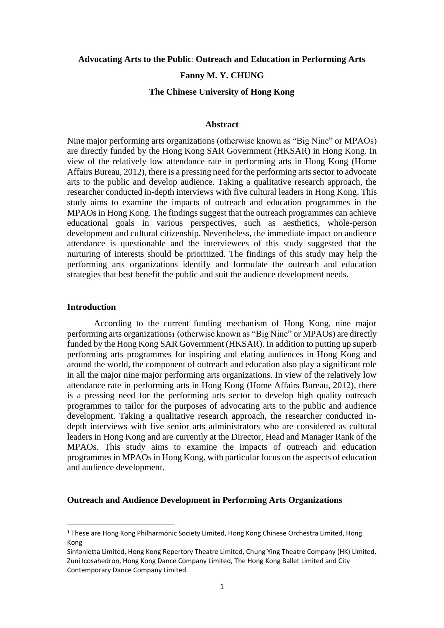### **Advocating Arts to the Public**: **Outreach and Education in Performing Arts**

#### **Fanny M. Y. CHUNG**

#### **The Chinese University of Hong Kong**

### **Abstract**

Nine major performing arts organizations (otherwise known as "Big Nine" or MPAOs) are directly funded by the Hong Kong SAR Government (HKSAR) in Hong Kong. In view of the relatively low attendance rate in performing arts in Hong Kong (Home Affairs Bureau, 2012), there is a pressing need for the performing arts sector to advocate arts to the public and develop audience. Taking a qualitative research approach, the researcher conducted in-depth interviews with five cultural leaders in Hong Kong. This study aims to examine the impacts of outreach and education programmes in the MPAOs in Hong Kong. The findings suggest that the outreach programmes can achieve educational goals in various perspectives, such as aesthetics, whole-person development and cultural citizenship. Nevertheless, the immediate impact on audience attendance is questionable and the interviewees of this study suggested that the nurturing of interests should be prioritized. The findings of this study may help the performing arts organizations identify and formulate the outreach and education strategies that best benefit the public and suit the audience development needs.

# **Introduction**

According to the current funding mechanism of Hong Kong, nine major performing arts organizations<sup>1</sup> (otherwise known as "Big Nine" or MPAOs) are directly funded by the Hong Kong SAR Government (HKSAR). In addition to putting up superb performing arts programmes for inspiring and elating audiences in Hong Kong and around the world, the component of outreach and education also play a significant role in all the major nine major performing arts organizations. In view of the relatively low attendance rate in performing arts in Hong Kong (Home Affairs Bureau, 2012), there is a pressing need for the performing arts sector to develop high quality outreach programmes to tailor for the purposes of advocating arts to the public and audience development. Taking a qualitative research approach, the researcher conducted indepth interviews with five senior arts administrators who are considered as cultural leaders in Hong Kong and are currently at the Director, Head and Manager Rank of the MPAOs. This study aims to examine the impacts of outreach and education programmes in MPAOs in Hong Kong, with particular focus on the aspects of education and audience development.

### **Outreach and Audience Development in Performing Arts Organizations**

<sup>&</sup>lt;sup>1</sup> These are Hong Kong Philharmonic Society Limited, Hong Kong Chinese Orchestra Limited, Hong Kong

Sinfonietta Limited, Hong Kong Repertory Theatre Limited, Chung Ying Theatre Company (HK) Limited, Zuni Icosahedron, Hong Kong Dance Company Limited, The Hong Kong Ballet Limited and City Contemporary Dance Company Limited.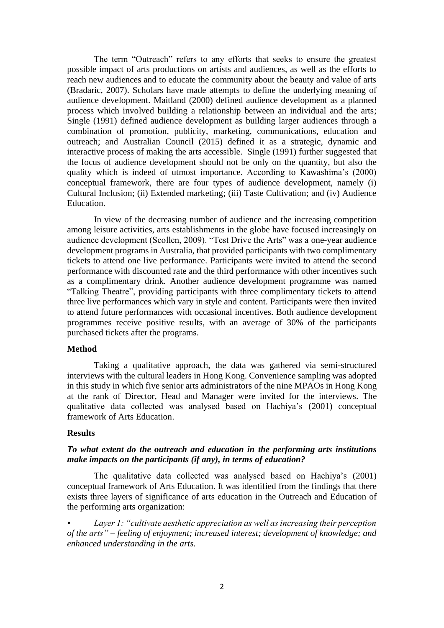The term "Outreach" refers to any efforts that seeks to ensure the greatest possible impact of arts productions on artists and audiences, as well as the efforts to reach new audiences and to educate the community about the beauty and value of arts (Bradaric, 2007). Scholars have made attempts to define the underlying meaning of audience development. Maitland (2000) defined audience development as a planned process which involved building a relationship between an individual and the arts; Single (1991) defined audience development as building larger audiences through a combination of promotion, publicity, marketing, communications, education and outreach; and Australian Council (2015) defined it as a strategic, dynamic and interactive process of making the arts accessible. Single (1991) further suggested that the focus of audience development should not be only on the quantity, but also the quality which is indeed of utmost importance. According to Kawashima's (2000) conceptual framework, there are four types of audience development, namely (i) Cultural Inclusion; (ii) Extended marketing; (iii) Taste Cultivation; and (iv) Audience Education.

In view of the decreasing number of audience and the increasing competition among leisure activities, arts establishments in the globe have focused increasingly on audience development (Scollen, 2009). "Test Drive the Arts" was a one-year audience development programs in Australia, that provided participants with two complimentary tickets to attend one live performance. Participants were invited to attend the second performance with discounted rate and the third performance with other incentives such as a complimentary drink. Another audience development programme was named "Talking Theatre", providing participants with three complimentary tickets to attend three live performances which vary in style and content. Participants were then invited to attend future performances with occasional incentives. Both audience development programmes receive positive results, with an average of 30% of the participants purchased tickets after the programs.

# **Method**

Taking a qualitative approach, the data was gathered via semi-structured interviews with the cultural leaders in Hong Kong. Convenience sampling was adopted in this study in which five senior arts administrators of the nine MPAOs in Hong Kong at the rank of Director, Head and Manager were invited for the interviews. The qualitative data collected was analysed based on Hachiya's (2001) conceptual framework of Arts Education.

## **Results**

# *To what extent do the outreach and education in the performing arts institutions make impacts on the participants (if any), in terms of education?*

The qualitative data collected was analysed based on Hachiya's (2001) conceptual framework of Arts Education. It was identified from the findings that there exists three layers of significance of arts education in the Outreach and Education of the performing arts organization:

*• Layer 1: "cultivate aesthetic appreciation as well as increasing their perception of the arts" – feeling of enjoyment; increased interest; development of knowledge; and enhanced understanding in the arts.*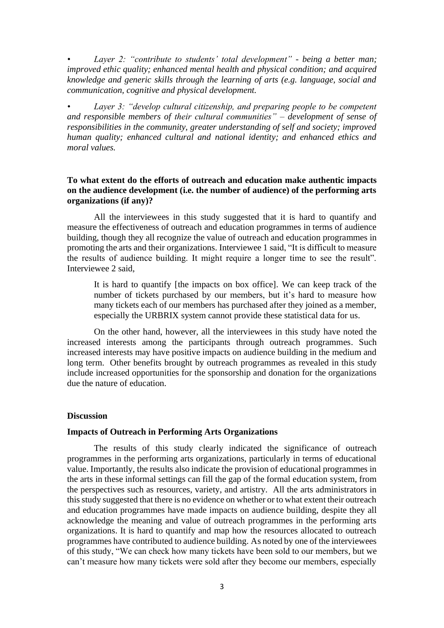*• Layer 2: "contribute to students' total development" - being a better man; improved ethic quality; enhanced mental health and physical condition; and acquired knowledge and generic skills through the learning of arts (e.g. language, social and communication, cognitive and physical development.*

*• Layer 3: "develop cultural citizenship, and preparing people to be competent and responsible members of their cultural communities" – development of sense of responsibilities in the community, greater understanding of self and society; improved human quality; enhanced cultural and national identity; and enhanced ethics and moral values.*

# **To what extent do the efforts of outreach and education make authentic impacts on the audience development (i.e. the number of audience) of the performing arts organizations (if any)?**

All the interviewees in this study suggested that it is hard to quantify and measure the effectiveness of outreach and education programmes in terms of audience building, though they all recognize the value of outreach and education programmes in promoting the arts and their organizations. Interviewee 1 said, "It is difficult to measure the results of audience building. It might require a longer time to see the result". Interviewee 2 said,

It is hard to quantify [the impacts on box office]. We can keep track of the number of tickets purchased by our members, but it's hard to measure how many tickets each of our members has purchased after they joined as a member, especially the URBRIX system cannot provide these statistical data for us.

On the other hand, however, all the interviewees in this study have noted the increased interests among the participants through outreach programmes. Such increased interests may have positive impacts on audience building in the medium and long term. Other benefits brought by outreach programmes as revealed in this study include increased opportunities for the sponsorship and donation for the organizations due the nature of education.

## **Discussion**

### **Impacts of Outreach in Performing Arts Organizations**

The results of this study clearly indicated the significance of outreach programmes in the performing arts organizations, particularly in terms of educational value. Importantly, the results also indicate the provision of educational programmes in the arts in these informal settings can fill the gap of the formal education system, from the perspectives such as resources, variety, and artistry. All the arts administrators in this study suggested that there is no evidence on whether or to what extent their outreach and education programmes have made impacts on audience building, despite they all acknowledge the meaning and value of outreach programmes in the performing arts organizations. It is hard to quantify and map how the resources allocated to outreach programmes have contributed to audience building. As noted by one of the interviewees of this study, "We can check how many tickets have been sold to our members, but we can't measure how many tickets were sold after they become our members, especially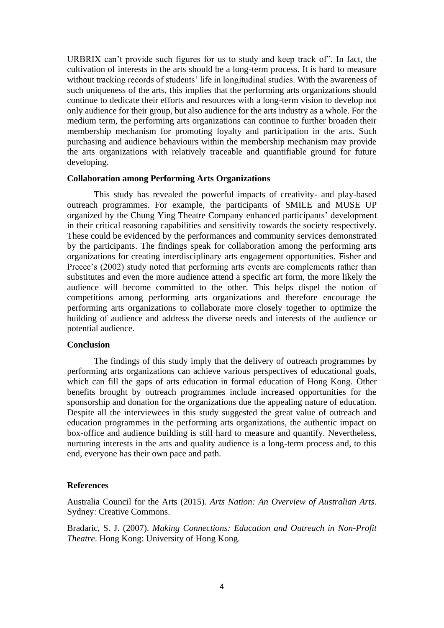URBRIX can't provide such figures for us to study and keep track of". In fact, the cultivation of interests in the arts should be a long-term process. It is hard to measure without tracking records of students' life in longitudinal studies. With the awareness of such uniqueness of the arts, this implies that the performing arts organizations should continue to dedicate their efforts and resources with a long-term vision to develop not only audience for their group, but also audience for the arts industry as a whole. For the medium term, the performing arts organizations can continue to further broaden their membership mechanism for promoting loyalty and participation in the arts. Such purchasing and audience behaviours within the membership mechanism may provide the arts organizations with relatively traceable and quantifiable ground for future developing.

### **Collaboration among Performing Arts Organizations**

This study has revealed the powerful impacts of creativity- and play-based outreach programmes. For example, the participants of SMILE and MUSE UP organized by the Chung Ying Theatre Company enhanced participants' development in their critical reasoning capabilities and sensitivity towards the society respectively. These could be evidenced by the performances and community services demonstrated by the participants. The findings speak for collaboration among the performing arts organizations for creating interdisciplinary arts engagement opportunities. Fisher and Preece's (2002) study noted that performing arts events are complements rather than substitutes and even the more audience attend a specific art form, the more likely the audience will become committed to the other. This helps dispel the notion of competitions among performing arts organizations and therefore encourage the performing arts organizations to collaborate more closely together to optimize the building of audience and address the diverse needs and interests of the audience or potential audience.

# **Conclusion**

The findings of this study imply that the delivery of outreach programmes by performing arts organizations can achieve various perspectives of educational goals, which can fill the gaps of arts education in formal education of Hong Kong. Other benefits brought by outreach programmes include increased opportunities for the sponsorship and donation for the organizations due the appealing nature of education. Despite all the interviewees in this study suggested the great value of outreach and education programmes in the performing arts organizations, the authentic impact on box-office and audience building is still hard to measure and quantify. Nevertheless, nurturing interests in the arts and quality audience is a long-term process and, to this end, everyone has their own pace and path.

### **References**

Australia Council for the Arts (2015). *Arts Nation: An Overview of Australian Arts*. Sydney: Creative Commons.

Bradaric, S. J. (2007). *Making Connections: Education and Outreach in Non-Profit Theatre*. Hong Kong: University of Hong Kong.